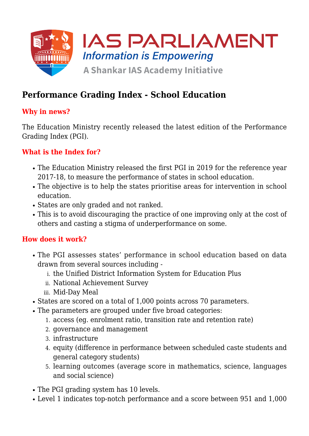

# **Performance Grading Index - School Education**

### **Why in news?**

The Education Ministry recently released the latest edition of the Performance Grading Index (PGI).

#### **What is the Index for?**

- The Education Ministry released the first PGI in 2019 for the reference year 2017-18, to measure the performance of states in school education.
- The objective is to help the states prioritise areas for intervention in school education.
- States are only graded and not ranked.
- This is to avoid discouraging the practice of one improving only at the cost of others and casting a stigma of underperformance on some.

#### **How does it work?**

- The PGI assesses states' performance in school education based on data drawn from several sources including
	- i. the Unified District Information System for Education Plus
	- ii. National Achievement Survey
	- iii. Mid-Day Meal
- States are scored on a total of 1,000 points across 70 parameters.
- The parameters are grouped under five broad categories:
	- 1. access (eg. enrolment ratio, transition rate and retention rate)
	- 2. governance and management
	- 3. infrastructure
	- 4. equity (difference in performance between scheduled caste students and general category students)
	- 5. learning outcomes (average score in mathematics, science, languages and social science)
- The PGI grading system has 10 levels.
- Level 1 indicates top-notch performance and a score between 951 and 1,000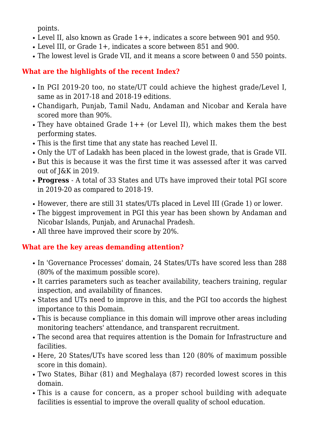points.

- Level II, also known as Grade 1++, indicates a score between 901 and 950.
- Level III, or Grade 1+, indicates a score between 851 and 900.
- The lowest level is Grade VII, and it means a score between 0 and 550 points.

## **What are the highlights of the recent Index?**

- In PGI 2019-20 too, no state/UT could achieve the highest grade/Level I, same as in 2017-18 and 2018-19 editions.
- Chandigarh, Punjab, Tamil Nadu, Andaman and Nicobar and Kerala have scored more than 90%.
- $\bullet$  They have obtained Grade 1++ (or Level II), which makes them the best performing states.
- This is the first time that any state has reached Level II.
- Only the UT of Ladakh has been placed in the lowest grade, that is Grade VII.
- But this is because it was the first time it was assessed after it was carved out of J&K in 2019.
- **Progress** A total of 33 States and UTs have improved their total PGI score in 2019-20 as compared to 2018-19.
- However, there are still 31 states/UTs placed in Level III (Grade 1) or lower.
- The biggest improvement in PGI this year has been shown by Andaman and Nicobar Islands, Punjab, and Arunachal Pradesh.
- All three have improved their score by 20%.

## **What are the key areas demanding attention?**

- In 'Governance Processes' domain, 24 States/UTs have scored less than 288 (80% of the maximum possible score).
- It carries parameters such as teacher availability, teachers training, regular inspection, and availability of finances.
- States and UTs need to improve in this, and the PGI too accords the highest importance to this Domain.
- This is because compliance in this domain will improve other areas including monitoring teachers' attendance, and transparent recruitment.
- The second area that requires attention is the Domain for Infrastructure and facilities.
- Here, 20 States/UTs have scored less than 120 (80% of maximum possible score in this domain).
- Two States, Bihar (81) and Meghalaya (87) recorded lowest scores in this domain.
- This is a cause for concern, as a proper school building with adequate facilities is essential to improve the overall quality of school education.